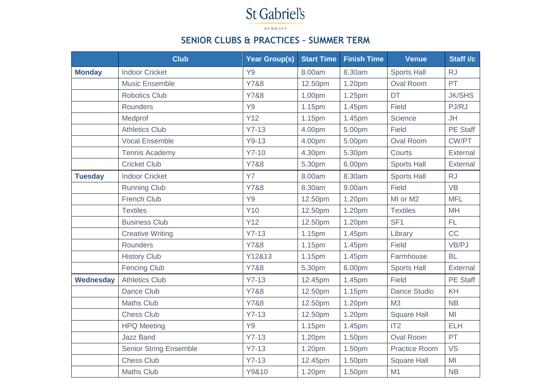## St Gabriel's

NEWBURY

## **SENIOR CLUBS & PRACTICES – SUMMER TERM**

|                  | <b>Club</b>                   | <b>Year Group(s)</b> | <b>Start Time</b> | <b>Finish Time</b> | <b>Venue</b>         | Staff i/c       |
|------------------|-------------------------------|----------------------|-------------------|--------------------|----------------------|-----------------|
| <b>Monday</b>    | <b>Indoor Cricket</b>         | Y <sub>9</sub>       | 8.00am            | 8.30am             | <b>Sports Hall</b>   | <b>RJ</b>       |
|                  | <b>Music Ensemble</b>         | Y7&8                 | 12.50pm           | 1.20pm             | <b>Oval Room</b>     | PT              |
|                  | <b>Robotics Club</b>          | Y7&8                 | 1.00pm            | 1.25pm             | <b>DT</b>            | <b>JK/SHS</b>   |
|                  | <b>Rounders</b>               | Y9                   | 1.15pm            | 1.45pm             | Field                | PJ/RJ           |
|                  | Medprof                       | Y12                  | 1.15pm            | 1.45pm             | <b>Science</b>       | <b>JH</b>       |
|                  | <b>Athletics Club</b>         | $Y7-13$              | 4.00pm            | 5.00pm             | Field                | <b>PE Staff</b> |
|                  | <b>Vocal Ensemble</b>         | $Y9-13$              | 4.00pm            | 5.00pm             | <b>Oval Room</b>     | CW/PT           |
|                  | <b>Tennis Academy</b>         | $Y7-10$              | 4.30pm            | 5.30pm             | Courts               | External        |
|                  | <b>Cricket Club</b>           | Y7&8                 | 5.30pm            | 6.00pm             | <b>Sports Hall</b>   | External        |
| <b>Tuesday</b>   | <b>Indoor Cricket</b>         | <b>Y7</b>            | 8.00am            | 8.30am             | <b>Sports Hall</b>   | <b>RJ</b>       |
|                  | <b>Running Club</b>           | Y7&8                 | 8.30am            | 9.00am             | <b>Field</b>         | <b>VB</b>       |
|                  | <b>French Club</b>            | Y9                   | 12.50pm           | 1.20pm             | MI or M2             | <b>MFL</b>      |
|                  | <b>Textiles</b>               | <b>Y10</b>           | 12.50pm           | 1.20pm             | <b>Textiles</b>      | <b>MH</b>       |
|                  | <b>Business Club</b>          | <b>Y12</b>           | 12.50pm           | 1.20pm             | SF <sub>1</sub>      | FL.             |
|                  | <b>Creative Writing</b>       | $Y7-13$              | 1.15pm            | 1.45pm             | Library              | CC              |
|                  | Rounders                      | Y7&8                 | 1.15pm            | 1.45pm             | Field                | VB/PJ           |
|                  | <b>History Club</b>           | Y12&13               | 1.15pm            | 1.45pm             | Farmhouse            | <b>BL</b>       |
|                  | <b>Fencing Club</b>           | Y7&8                 | 5.30pm            | 6.00pm             | <b>Sports Hall</b>   | <b>External</b> |
| <b>Wednesday</b> | <b>Athletics Club</b>         | $Y7-13$              | 12.45pm           | 1.45pm             | Field                | <b>PE Staff</b> |
|                  | Dance Club                    | Y7&8                 | 12.50pm           | 1.15pm             | <b>Dance Studio</b>  | KH              |
|                  | <b>Maths Club</b>             | Y7&8                 | 12.50pm           | 1.20pm             | M <sub>3</sub>       | NB              |
|                  | <b>Chess Club</b>             | $Y7-13$              | 12.50pm           | 1.20pm             | <b>Square Hall</b>   | MI              |
|                  | <b>HPQ Meeting</b>            | Y <sub>9</sub>       | 1.15pm            | 1.45pm             | IT2                  | <b>ELH</b>      |
|                  | <b>Jazz Band</b>              | $Y7-13$              | 1.20pm            | 1.50pm             | <b>Oval Room</b>     | PT              |
|                  | <b>Senior String Ensemble</b> | $Y7-13$              | 1.20pm            | 1.50pm             | <b>Practice Room</b> | <b>VS</b>       |
|                  | <b>Chess Club</b>             | $Y7-13$              | 12.45pm           | 1.50pm             | <b>Square Hall</b>   | MI              |
|                  | <b>Maths Club</b>             | Y9&10                | 1.20pm            | 1.50pm             | M1                   | NB              |